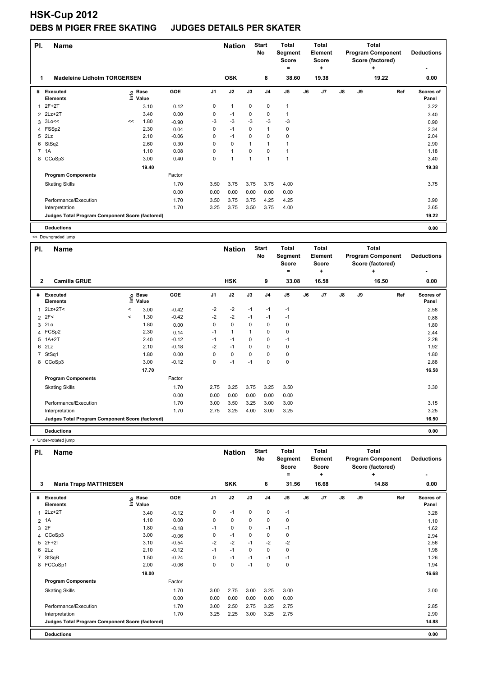| PI. | <b>Name</b>                                     |    |                            |         |                | <b>Nation</b> |              | <b>Start</b><br>No | <b>Total</b><br>Segment<br><b>Score</b><br>$\equiv$ |    | <b>Total</b><br><b>Element</b><br><b>Score</b><br>÷ |    |    | <b>Total</b><br><b>Program Component</b><br>Score (factored)<br>٠ | <b>Deductions</b>         |
|-----|-------------------------------------------------|----|----------------------------|---------|----------------|---------------|--------------|--------------------|-----------------------------------------------------|----|-----------------------------------------------------|----|----|-------------------------------------------------------------------|---------------------------|
| 1   | <b>Madeleine Lidholm TORGERSEN</b>              |    |                            |         |                | <b>OSK</b>    |              | 8                  | 38.60                                               |    | 19.38                                               |    |    | 19.22                                                             | 0.00                      |
| #   | <b>Executed</b><br><b>Elements</b>              |    | e Base<br>E Value<br>Value | GOE     | J <sub>1</sub> | J2            | J3           | J <sub>4</sub>     | J5                                                  | J6 | J7                                                  | J8 | J9 | Ref                                                               | <b>Scores of</b><br>Panel |
| 1   | $2F+2T$                                         |    | 3.10                       | 0.12    | 0              | $\mathbf{1}$  | 0            | 0                  | 1                                                   |    |                                                     |    |    |                                                                   | 3.22                      |
| 2   | $2Lz+2T$                                        |    | 3.40                       | 0.00    | 0              | $-1$          | 0            | 0                  | 1                                                   |    |                                                     |    |    |                                                                   | 3.40                      |
| 3   | 3Lo<<                                           | << | 1.80                       | $-0.90$ | -3             | $-3$          | $-3$         | $-3$               | $-3$                                                |    |                                                     |    |    |                                                                   | 0.90                      |
|     | 4 FSSp2                                         |    | 2.30                       | 0.04    | 0              | $-1$          | $\Omega$     | 1                  | 0                                                   |    |                                                     |    |    |                                                                   | 2.34                      |
|     | $5$ $2Lz$                                       |    | 2.10                       | $-0.06$ | 0              | $-1$          | 0            | $\mathbf 0$        | 0                                                   |    |                                                     |    |    |                                                                   | 2.04                      |
| 6   | StSq2                                           |    | 2.60                       | 0.30    | 0              | $\mathbf 0$   | $\mathbf{1}$ | 1                  | 1                                                   |    |                                                     |    |    |                                                                   | 2.90                      |
|     | 7 1A                                            |    | 1.10                       | 0.08    | 0              | $\mathbf{1}$  | $\Omega$     | $\mathbf 0$        | 1                                                   |    |                                                     |    |    |                                                                   | 1.18                      |
|     | 8 CCoSp3                                        |    | 3.00                       | 0.40    | 0              | $\mathbf{1}$  | $\mathbf{1}$ | $\overline{1}$     | $\mathbf{1}$                                        |    |                                                     |    |    |                                                                   | 3.40                      |
|     |                                                 |    | 19.40                      |         |                |               |              |                    |                                                     |    |                                                     |    |    |                                                                   | 19.38                     |
|     | <b>Program Components</b>                       |    |                            | Factor  |                |               |              |                    |                                                     |    |                                                     |    |    |                                                                   |                           |
|     | <b>Skating Skills</b>                           |    |                            | 1.70    | 3.50           | 3.75          | 3.75         | 3.75               | 4.00                                                |    |                                                     |    |    |                                                                   | 3.75                      |
|     |                                                 |    |                            | 0.00    | 0.00           | 0.00          | 0.00         | 0.00               | 0.00                                                |    |                                                     |    |    |                                                                   |                           |
|     | Performance/Execution                           |    |                            | 1.70    | 3.50           | 3.75          | 3.75         | 4.25               | 4.25                                                |    |                                                     |    |    |                                                                   | 3.90                      |
|     | Interpretation                                  |    |                            | 1.70    | 3.25           | 3.75          | 3.50         | 3.75               | 4.00                                                |    |                                                     |    |    |                                                                   | 3.65                      |
|     | Judges Total Program Component Score (factored) |    |                            |         |                |               |              |                    |                                                     |    |                                                     |    |    |                                                                   | 19.22                     |
|     | <b>Deductions</b>                               |    |                            |         |                |               |              |                    |                                                     |    |                                                     |    |    |                                                                   | 0.00                      |

<< Downgraded jump

| PI.          | <b>Name</b>                                     |          |                            |         |                | <b>Nation</b> |      | <b>Start</b><br>No | <b>Total</b><br>Segment<br><b>Score</b> |    | Total<br><b>Element</b><br><b>Score</b> |    |    | Total<br><b>Program Component</b><br>Score (factored) | <b>Deductions</b>         |
|--------------|-------------------------------------------------|----------|----------------------------|---------|----------------|---------------|------|--------------------|-----------------------------------------|----|-----------------------------------------|----|----|-------------------------------------------------------|---------------------------|
|              |                                                 |          |                            |         |                |               |      |                    | $=$                                     |    | ÷                                       |    |    | ÷                                                     | ٠                         |
| 2            | <b>Camilla GRUE</b>                             |          |                            |         |                | <b>HSK</b>    |      | 9                  | 33.08                                   |    | 16.58                                   |    |    | 16.50                                                 | 0.00                      |
| #            | Executed<br><b>Elements</b>                     |          | e Base<br>⊑ Value<br>Value | GOE     | J <sub>1</sub> | J2            | J3   | J <sub>4</sub>     | J <sub>5</sub>                          | J6 | J7                                      | J8 | J9 | Ref                                                   | <b>Scores of</b><br>Panel |
| $\mathbf{1}$ | $2Lz+2T2$                                       | $\,<\,$  | 3.00                       | $-0.42$ | $-2$           | $-2$          | $-1$ | $-1$               | $-1$                                    |    |                                         |    |    |                                                       | 2.58                      |
|              | $2$ 2F<                                         | $\hat{}$ | 1.30                       | $-0.42$ | $-2$           | $-2$          | $-1$ | $-1$               | $-1$                                    |    |                                         |    |    |                                                       | 0.88                      |
|              | 3 2Lo                                           |          | 1.80                       | 0.00    | 0              | $\pmb{0}$     | 0    | 0                  | 0                                       |    |                                         |    |    |                                                       | 1.80                      |
|              | 4 FCSp2                                         |          | 2.30                       | 0.14    | $-1$           | $\mathbf{1}$  | 1    | 0                  | 0                                       |    |                                         |    |    |                                                       | 2.44                      |
|              | 5 1A+2T                                         |          | 2.40                       | $-0.12$ | $-1$           | $-1$          | 0    | 0                  | $-1$                                    |    |                                         |    |    |                                                       | 2.28                      |
|              | $6$ $2Lz$                                       |          | 2.10                       | $-0.18$ | $-2$           | $-1$          | 0    | 0                  | 0                                       |    |                                         |    |    |                                                       | 1.92                      |
|              | 7 StSq1                                         |          | 1.80                       | 0.00    | 0              | 0             | 0    | 0                  | 0                                       |    |                                         |    |    |                                                       | 1.80                      |
|              | 8 CCoSp3                                        |          | 3.00                       | $-0.12$ | 0              | $-1$          | $-1$ | 0                  | $\pmb{0}$                               |    |                                         |    |    |                                                       | 2.88                      |
|              |                                                 |          | 17.70                      |         |                |               |      |                    |                                         |    |                                         |    |    |                                                       | 16.58                     |
|              | <b>Program Components</b>                       |          |                            | Factor  |                |               |      |                    |                                         |    |                                         |    |    |                                                       |                           |
|              | <b>Skating Skills</b>                           |          |                            | 1.70    | 2.75           | 3.25          | 3.75 | 3.25               | 3.50                                    |    |                                         |    |    |                                                       | 3.30                      |
|              |                                                 |          |                            | 0.00    | 0.00           | 0.00          | 0.00 | 0.00               | 0.00                                    |    |                                         |    |    |                                                       |                           |
|              | Performance/Execution                           |          |                            | 1.70    | 3.00           | 3.50          | 3.25 | 3.00               | 3.00                                    |    |                                         |    |    |                                                       | 3.15                      |
|              | Interpretation                                  |          |                            | 1.70    | 2.75           | 3.25          | 4.00 | 3.00               | 3.25                                    |    |                                         |    |    |                                                       | 3.25                      |
|              | Judges Total Program Component Score (factored) |          |                            |         |                |               |      |                    |                                         |    |                                         |    |    |                                                       | 16.50                     |
|              | <b>Deductions</b>                               |          |                            |         |                |               |      |                    |                                         |    |                                         |    |    |                                                       | 0.00                      |

< Under-rotated jump

| PI.            | <b>Name</b><br><b>Maria Trapp MATTHIESEN</b><br>3 |                              |         |                | <b>Nation</b> |           | <b>Start</b><br>No | <b>Total</b><br>Segment<br><b>Score</b><br>$=$ |    | <b>Total</b><br>Element<br><b>Score</b><br>٠ |               |    | <b>Total</b><br><b>Program Component</b><br>Score (factored)<br>÷ | <b>Deductions</b>         |
|----------------|---------------------------------------------------|------------------------------|---------|----------------|---------------|-----------|--------------------|------------------------------------------------|----|----------------------------------------------|---------------|----|-------------------------------------------------------------------|---------------------------|
|                |                                                   |                              |         |                | <b>SKK</b>    |           | 6                  | 31.56                                          |    | 16.68                                        |               |    | 14.88                                                             | 0.00                      |
| #              | <b>Executed</b><br><b>Elements</b>                | <b>Base</b><br>lnfo<br>Value | GOE     | J <sub>1</sub> | J2            | J3        | J <sub>4</sub>     | J <sub>5</sub>                                 | J6 | J7                                           | $\mathsf{J}8$ | J9 | Ref                                                               | <b>Scores of</b><br>Panel |
| 1              | $2Lz+2T$                                          | 3.40                         | $-0.12$ | 0              | $-1$          | $\pmb{0}$ | $\pmb{0}$          | $-1$                                           |    |                                              |               |    |                                                                   | 3.28                      |
| $\overline{2}$ | 1A                                                | 1.10                         | 0.00    | 0              | $\mathbf 0$   | 0         | 0                  | 0                                              |    |                                              |               |    |                                                                   | 1.10                      |
| 3              | 2F                                                | 1.80                         | $-0.18$ | $-1$           | 0             | 0         | $-1$               | -1                                             |    |                                              |               |    |                                                                   | 1.62                      |
| 4              | CCoSp3                                            | 3.00                         | $-0.06$ | 0              | $-1$          | 0         | 0                  | 0                                              |    |                                              |               |    |                                                                   | 2.94                      |
| 5              | $2F+2T$                                           | 3.10                         | $-0.54$ | $-2$           | $-2$          | $-1$      | $-2$               | $-2$                                           |    |                                              |               |    |                                                                   | 2.56                      |
| 6              | 2Lz                                               | 2.10                         | $-0.12$ | $-1$           | $-1$          | 0         | $\mathbf 0$        | 0                                              |    |                                              |               |    |                                                                   | 1.98                      |
| 7              | StSqB                                             | 1.50                         | $-0.24$ | 0              | $-1$          | $-1$      | $-1$               | $-1$                                           |    |                                              |               |    |                                                                   | 1.26                      |
| 8              | FCCoSp1                                           | 2.00                         | $-0.06$ | 0              | 0             | $-1$      | 0                  | 0                                              |    |                                              |               |    |                                                                   | 1.94                      |
|                |                                                   | 18.00                        |         |                |               |           |                    |                                                |    |                                              |               |    |                                                                   | 16.68                     |
|                | <b>Program Components</b>                         |                              | Factor  |                |               |           |                    |                                                |    |                                              |               |    |                                                                   |                           |
|                | <b>Skating Skills</b>                             |                              | 1.70    | 3.00           | 2.75          | 3.00      | 3.25               | 3.00                                           |    |                                              |               |    |                                                                   | 3.00                      |
|                |                                                   |                              | 0.00    | 0.00           | 0.00          | 0.00      | 0.00               | 0.00                                           |    |                                              |               |    |                                                                   |                           |
|                | Performance/Execution                             |                              | 1.70    | 3.00           | 2.50          | 2.75      | 3.25               | 2.75                                           |    |                                              |               |    |                                                                   | 2.85                      |
|                | Interpretation                                    |                              | 1.70    | 3.25           | 2.25          | 3.00      | 3.25               | 2.75                                           |    |                                              |               |    |                                                                   | 2.90                      |
|                | Judges Total Program Component Score (factored)   |                              |         |                |               |           |                    |                                                |    |                                              |               |    |                                                                   | 14.88                     |
|                | <b>Deductions</b>                                 |                              |         |                |               |           |                    |                                                |    |                                              |               |    |                                                                   | 0.00                      |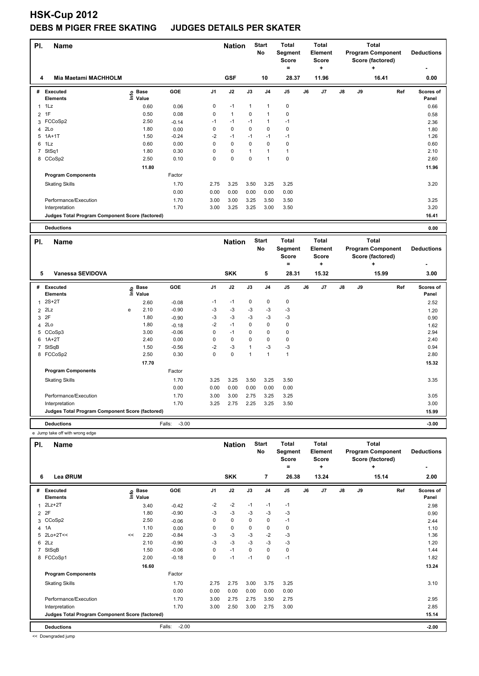| PI.            | <b>Name</b>                                     |                                  |            | <b>Nation</b>  |              | <b>Start</b><br>No | <b>Total</b><br>Segment<br><b>Score</b><br>۰ |                | <b>Total</b><br>Element<br>Score<br>÷ |       |               | <b>Total</b><br><b>Program Component</b><br>Score (factored)<br>٠ | <b>Deductions</b> |                    |
|----------------|-------------------------------------------------|----------------------------------|------------|----------------|--------------|--------------------|----------------------------------------------|----------------|---------------------------------------|-------|---------------|-------------------------------------------------------------------|-------------------|--------------------|
| 4              | Mia Maetami MACHHOLM                            |                                  |            |                | <b>GSF</b>   |                    | 10                                           | 28.37          |                                       | 11.96 |               |                                                                   | 16.41             | 0.00               |
| #              | Executed<br><b>Elements</b>                     | <b>Base</b><br>e Base<br>⊆ Value | <b>GOE</b> | J <sub>1</sub> | J2           | J3                 | J <sub>4</sub>                               | J <sub>5</sub> | J6                                    | J7    | $\mathsf{J}8$ | J9                                                                | Ref               | Scores of<br>Panel |
| $\mathbf{1}$   | 1Lz                                             | 0.60                             | 0.06       | 0              | $-1$         | 1                  | $\overline{1}$                               | $\pmb{0}$      |                                       |       |               |                                                                   |                   | 0.66               |
| 2              | 1F                                              | 0.50                             | 0.08       | 0              | $\mathbf{1}$ | 0                  | $\overline{1}$                               | 0              |                                       |       |               |                                                                   |                   | 0.58               |
| 3              | FCCoSp2                                         | 2.50                             | $-0.14$    | $-1$           | $-1$         | $-1$               | $\overline{1}$                               | $-1$           |                                       |       |               |                                                                   |                   | 2.36               |
| 4              | 2Lo                                             | 1.80                             | 0.00       | 0              | $\mathbf 0$  | $\mathbf 0$        | $\mathbf 0$                                  | $\pmb{0}$      |                                       |       |               |                                                                   |                   | 1.80               |
| 5              | $1A+1T$                                         | 1.50                             | $-0.24$    | $-2$           | $-1$         | $-1$               | $-1$                                         | $-1$           |                                       |       |               |                                                                   |                   | 1.26               |
| 6              | 1Lz                                             | 0.60                             | 0.00       | 0              | $\mathbf 0$  | $\mathbf 0$        | $\mathbf 0$                                  | 0              |                                       |       |               |                                                                   |                   | 0.60               |
| $\overline{7}$ | StSq1                                           | 1.80                             | 0.30       | 0              | 0            | 1                  | -1                                           | $\mathbf{1}$   |                                       |       |               |                                                                   |                   | 2.10               |
|                | 8 CCoSp2                                        | 2.50                             | 0.10       | 0              | $\mathbf 0$  | 0                  | $\overline{1}$                               | 0              |                                       |       |               |                                                                   |                   | 2.60               |
|                |                                                 | 11.80                            |            |                |              |                    |                                              |                |                                       |       |               |                                                                   |                   | 11.96              |
|                | <b>Program Components</b>                       |                                  | Factor     |                |              |                    |                                              |                |                                       |       |               |                                                                   |                   |                    |
|                | <b>Skating Skills</b>                           |                                  | 1.70       | 2.75           | 3.25         | 3.50               | 3.25                                         | 3.25           |                                       |       |               |                                                                   |                   | 3.20               |
|                |                                                 |                                  | 0.00       | 0.00           | 0.00         | 0.00               | 0.00                                         | 0.00           |                                       |       |               |                                                                   |                   |                    |
|                | Performance/Execution                           |                                  | 1.70       | 3.00           | 3.00         | 3.25               | 3.50                                         | 3.50           |                                       |       |               |                                                                   |                   | 3.25               |
|                | Interpretation                                  |                                  | 1.70       | 3.00           | 3.25         | 3.25               | 3.00                                         | 3.50           |                                       |       |               |                                                                   |                   | 3.20               |
|                | Judges Total Program Component Score (factored) |                                  |            |                |              |                    |                                              |                |                                       |       |               |                                                                   |                   | 16.41              |
|                | <b>Deductions</b>                               |                                  |            |                |              |                    |                                              |                |                                       |       |               |                                                                   |                   | 0.00               |

| PI. | <b>Name</b>                                     |      |                      |                   |      | <b>Nation</b> |      | <b>Start</b><br>No | <b>Total</b><br>Segment<br><b>Score</b><br>= |    | <b>Total</b><br>Element<br><b>Score</b><br>÷ |               |    | <b>Total</b><br><b>Program Component</b><br>Score (factored)<br>٠ | <b>Deductions</b>         |
|-----|-------------------------------------------------|------|----------------------|-------------------|------|---------------|------|--------------------|----------------------------------------------|----|----------------------------------------------|---------------|----|-------------------------------------------------------------------|---------------------------|
| 5   | Vanessa SEVIDOVA                                |      |                      |                   |      | <b>SKK</b>    |      | 5                  | 28.31                                        |    | 15.32                                        |               |    | 15.99                                                             | 3.00                      |
| #   | Executed<br><b>Elements</b>                     | ١nf٥ | <b>Base</b><br>Value | GOE               | J1   | J2            | J3   | J4                 | J <sub>5</sub>                               | J6 | J7                                           | $\mathsf{J}8$ | J9 | Ref                                                               | <b>Scores of</b><br>Panel |
| 1   | $2S+2T$                                         |      | 2.60                 | $-0.08$           | $-1$ | $-1$          | 0    | 0                  | $\mathbf 0$                                  |    |                                              |               |    |                                                                   | 2.52                      |
|     | $2$ $2Lz$                                       | e    | 2.10                 | $-0.90$           | -3   | $-3$          | -3   | $-3$               | $-3$                                         |    |                                              |               |    |                                                                   | 1.20                      |
|     | 3 2F                                            |      | 1.80                 | $-0.90$           | -3   | $-3$          | $-3$ | $-3$               | $-3$                                         |    |                                              |               |    |                                                                   | 0.90                      |
|     | 4 2Lo                                           |      | 1.80                 | $-0.18$           | $-2$ | $-1$          | 0    | 0                  | 0                                            |    |                                              |               |    |                                                                   | 1.62                      |
|     | 5 CCoSp3                                        |      | 3.00                 | $-0.06$           | 0    | $-1$          | 0    | $\mathbf 0$        | 0                                            |    |                                              |               |    |                                                                   | 2.94                      |
| 6   | $1A+2T$                                         |      | 2.40                 | 0.00              | 0    | 0             | 0    | 0                  | 0                                            |    |                                              |               |    |                                                                   | 2.40                      |
|     | StSqB                                           |      | 1.50                 | $-0.56$           | $-2$ | -3            |      | -3                 | -3                                           |    |                                              |               |    |                                                                   | 0.94                      |
|     | 8 FCCoSp2                                       |      | 2.50                 | 0.30              | 0    | $\pmb{0}$     |      | $\mathbf{1}$       | $\mathbf{1}$                                 |    |                                              |               |    |                                                                   | 2.80                      |
|     |                                                 |      | 17.70                |                   |      |               |      |                    |                                              |    |                                              |               |    |                                                                   | 15.32                     |
|     | <b>Program Components</b>                       |      |                      | Factor            |      |               |      |                    |                                              |    |                                              |               |    |                                                                   |                           |
|     | <b>Skating Skills</b>                           |      |                      | 1.70              | 3.25 | 3.25          | 3.50 | 3.25               | 3.50                                         |    |                                              |               |    |                                                                   | 3.35                      |
|     |                                                 |      |                      | 0.00              | 0.00 | 0.00          | 0.00 | 0.00               | 0.00                                         |    |                                              |               |    |                                                                   |                           |
|     | Performance/Execution                           |      |                      | 1.70              | 3.00 | 3.00          | 2.75 | 3.25               | 3.25                                         |    |                                              |               |    |                                                                   | 3.05                      |
|     | Interpretation                                  |      |                      | 1.70              | 3.25 | 2.75          | 2.25 | 3.25               | 3.50                                         |    |                                              |               |    |                                                                   | 3.00                      |
|     | Judges Total Program Component Score (factored) |      |                      |                   |      |               |      |                    |                                              |    |                                              |               |    |                                                                   | 15.99                     |
|     | <b>Deductions</b>                               |      |                      | $-3.00$<br>Falls: |      |               |      |                    |                                              |    |                                              |               |    |                                                                   | $-3.00$                   |

e Jump take off with wrong edge

| PI.            | <b>Name</b>                                     |    |                                  |                   | <b>Nation</b>  |            | <b>Start</b><br>No | <b>Total</b><br>Segment<br><b>Score</b><br>۰ |                | Total<br><b>Element</b><br><b>Score</b><br>÷ |       |    | Total<br><b>Program Component</b><br>Score (factored)<br>٠ | <b>Deductions</b> |                    |
|----------------|-------------------------------------------------|----|----------------------------------|-------------------|----------------|------------|--------------------|----------------------------------------------|----------------|----------------------------------------------|-------|----|------------------------------------------------------------|-------------------|--------------------|
| 6              | Lea ØRUM                                        |    |                                  |                   |                | <b>SKK</b> |                    | 7                                            | 26.38          |                                              | 13.24 |    |                                                            | 15.14             | 2.00               |
| #              | Executed<br><b>Elements</b>                     |    | <b>Base</b><br>e Base<br>⊑ Value | GOE               | J <sub>1</sub> | J2         | J3                 | J <sub>4</sub>                               | J <sub>5</sub> | J6                                           | J7    | J8 | J9                                                         | Ref               | Scores of<br>Panel |
| 1              | $2Lz+2T$                                        |    | 3.40                             | $-0.42$           | $-2$           | $-2$       | $-1$               | $-1$                                         | $-1$           |                                              |       |    |                                                            |                   | 2.98               |
| $\overline{2}$ | 2F                                              |    | 1.80                             | $-0.90$           | $-3$           | $-3$       | $-3$               | $-3$                                         | $-3$           |                                              |       |    |                                                            |                   | 0.90               |
| 3              | CCoSp2                                          |    | 2.50                             | $-0.06$           | 0              | 0          | 0                  | 0                                            | $-1$           |                                              |       |    |                                                            |                   | 2.44               |
| 4              | 1A                                              |    | 1.10                             | 0.00              | 0              | 0          | 0                  | 0                                            | 0              |                                              |       |    |                                                            |                   | 1.10               |
| 5              | 2Lo+2T<<                                        | << | 2.20                             | $-0.84$           | -3             | $-3$       | $-3$               | $-2$                                         | $-3$           |                                              |       |    |                                                            |                   | 1.36               |
| 6              | 2Lz                                             |    | 2.10                             | $-0.90$           | $-3$           | $-3$       | $-3$               | $-3$                                         | $-3$           |                                              |       |    |                                                            |                   | 1.20               |
| $\overline{7}$ | StSqB                                           |    | 1.50                             | $-0.06$           | 0              | $-1$       | $\Omega$           | 0                                            | 0              |                                              |       |    |                                                            |                   | 1.44               |
|                | 8 FCCoSp1                                       |    | 2.00                             | $-0.18$           | 0              | $-1$       | $-1$               | 0                                            | $-1$           |                                              |       |    |                                                            |                   | 1.82               |
|                |                                                 |    | 16.60                            |                   |                |            |                    |                                              |                |                                              |       |    |                                                            |                   | 13.24              |
|                | <b>Program Components</b>                       |    |                                  | Factor            |                |            |                    |                                              |                |                                              |       |    |                                                            |                   |                    |
|                | <b>Skating Skills</b>                           |    |                                  | 1.70              | 2.75           | 2.75       | 3.00               | 3.75                                         | 3.25           |                                              |       |    |                                                            |                   | 3.10               |
|                |                                                 |    |                                  | 0.00              | 0.00           | 0.00       | 0.00               | 0.00                                         | 0.00           |                                              |       |    |                                                            |                   |                    |
|                | Performance/Execution                           |    |                                  | 1.70              | 3.00           | 2.75       | 2.75               | 3.50                                         | 2.75           |                                              |       |    |                                                            |                   | 2.95               |
|                | Interpretation                                  |    |                                  | 1.70              | 3.00           | 2.50       | 3.00               | 2.75                                         | 3.00           |                                              |       |    |                                                            |                   | 2.85               |
|                | Judges Total Program Component Score (factored) |    |                                  |                   |                |            |                    |                                              |                |                                              |       |    |                                                            |                   | 15.14              |
|                | <b>Deductions</b>                               |    |                                  | $-2.00$<br>Falls: |                |            |                    |                                              |                |                                              |       |    |                                                            |                   | $-2.00$            |

<< Downgraded jump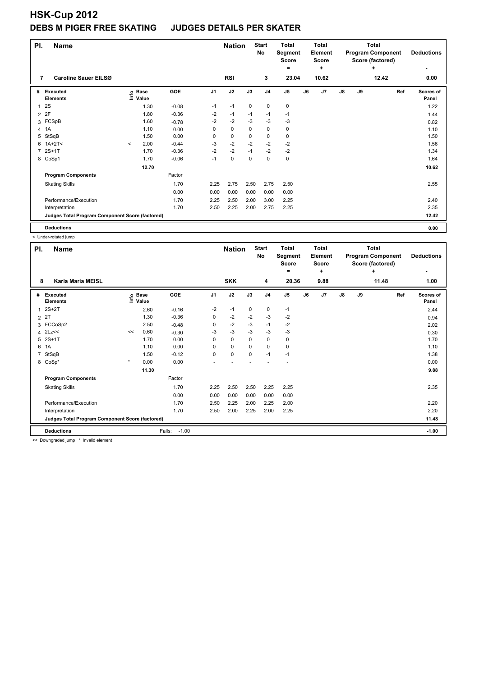| PI. | <b>Name</b>                                     |         |                            |         | <b>Nation</b>  |             | <b>Start</b><br>No | <b>Total</b><br>Segment<br><b>Score</b><br>$\equiv$ |       | <b>Total</b><br><b>Element</b><br><b>Score</b><br>÷ |       |    | <b>Total</b><br><b>Program Component</b><br>Score (factored)<br>٠ | <b>Deductions</b> |                    |
|-----|-------------------------------------------------|---------|----------------------------|---------|----------------|-------------|--------------------|-----------------------------------------------------|-------|-----------------------------------------------------|-------|----|-------------------------------------------------------------------|-------------------|--------------------|
| 7   | Caroline Sauer EILSØ                            |         |                            |         |                | <b>RSI</b>  |                    | 3                                                   | 23.04 |                                                     | 10.62 |    |                                                                   | 12.42             | 0.00               |
| #   | <b>Executed</b><br><b>Elements</b>              |         | e Base<br>E Value<br>Value | GOE     | J <sub>1</sub> | J2          | J3                 | J <sub>4</sub>                                      | J5    | J6                                                  | J7    | J8 | J9                                                                | Ref               | Scores of<br>Panel |
| 1   | 2S                                              |         | 1.30                       | $-0.08$ | $-1$           | $-1$        | 0                  | 0                                                   | 0     |                                                     |       |    |                                                                   |                   | 1.22               |
| 2   | 2F                                              |         | 1.80                       | $-0.36$ | $-2$           | $-1$        | $-1$               | $-1$                                                | $-1$  |                                                     |       |    |                                                                   |                   | 1.44               |
| 3   | FCSpB                                           |         | 1.60                       | $-0.78$ | $-2$           | $-2$        | -3                 | $-3$                                                | $-3$  |                                                     |       |    |                                                                   |                   | 0.82               |
| 4   | 1A                                              |         | 1.10                       | 0.00    | 0              | $\mathbf 0$ | 0                  | $\mathbf 0$                                         | 0     |                                                     |       |    |                                                                   |                   | 1.10               |
| 5   | StSqB                                           |         | 1.50                       | 0.00    | 0              | $\mathbf 0$ | 0                  | $\mathbf 0$                                         | 0     |                                                     |       |    |                                                                   |                   | 1.50               |
| 6   | $1A+2T5$                                        | $\prec$ | 2.00                       | $-0.44$ | $-3$           | $-2$        | $-2$               | $-2$                                                | $-2$  |                                                     |       |    |                                                                   |                   | 1.56               |
| 7   | $2S+1T$                                         |         | 1.70                       | $-0.36$ | $-2$           | $-2$        | $-1$               | $-2$                                                | $-2$  |                                                     |       |    |                                                                   |                   | 1.34               |
| 8   | CoSp1                                           |         | 1.70                       | $-0.06$ | $-1$           | $\mathbf 0$ | 0                  | $\mathbf 0$                                         | 0     |                                                     |       |    |                                                                   |                   | 1.64               |
|     |                                                 |         | 12.70                      |         |                |             |                    |                                                     |       |                                                     |       |    |                                                                   |                   | 10.62              |
|     | <b>Program Components</b>                       |         |                            | Factor  |                |             |                    |                                                     |       |                                                     |       |    |                                                                   |                   |                    |
|     | <b>Skating Skills</b>                           |         |                            | 1.70    | 2.25           | 2.75        | 2.50               | 2.75                                                | 2.50  |                                                     |       |    |                                                                   |                   | 2.55               |
|     |                                                 |         |                            | 0.00    | 0.00           | 0.00        | 0.00               | 0.00                                                | 0.00  |                                                     |       |    |                                                                   |                   |                    |
|     | Performance/Execution                           |         |                            | 1.70    | 2.25           | 2.50        | 2.00               | 3.00                                                | 2.25  |                                                     |       |    |                                                                   |                   | 2.40               |
|     | Interpretation                                  |         |                            | 1.70    | 2.50           | 2.25        | 2.00               | 2.75                                                | 2.25  |                                                     |       |    |                                                                   |                   | 2.35               |
|     | Judges Total Program Component Score (factored) |         |                            |         |                |             |                    |                                                     |       |                                                     |       |    |                                                                   |                   | 12.42              |
|     | <b>Deductions</b>                               |         |                            |         |                |             |                    |                                                     |       |                                                     |       |    |                                                                   |                   | 0.00               |

|                | < Under-rotated jump                            |         |                                  |                   |                |                             |             |                         |                                                         |    |                                                      |               |    |                                                                                    |                           |
|----------------|-------------------------------------------------|---------|----------------------------------|-------------------|----------------|-----------------------------|-------------|-------------------------|---------------------------------------------------------|----|------------------------------------------------------|---------------|----|------------------------------------------------------------------------------------|---------------------------|
| PI.<br>8       | <b>Name</b><br>Karla Maria MEISL                |         |                                  |                   |                | <b>Nation</b><br><b>SKK</b> |             | <b>Start</b><br>No<br>4 | <b>Total</b><br>Segment<br><b>Score</b><br>$=$<br>20.36 |    | <b>Total</b><br>Element<br><b>Score</b><br>÷<br>9.88 |               |    | <b>Total</b><br><b>Program Component</b><br>Score (factored)<br>$\ddot{}$<br>11.48 | <b>Deductions</b><br>1.00 |
|                |                                                 |         |                                  |                   |                |                             |             |                         |                                                         |    |                                                      |               |    |                                                                                    |                           |
| #              | Executed<br><b>Elements</b>                     |         | <b>Base</b><br>e Base<br>⊆ Value | GOE               | J <sub>1</sub> | J2                          | J3          | J <sub>4</sub>          | J <sub>5</sub>                                          | J6 | J7                                                   | $\mathsf{J}8$ | J9 | Ref                                                                                | Scores of<br>Panel        |
| 1              | $2S+2T$                                         |         | 2.60                             | $-0.16$           | $-2$           | $-1$                        | 0           | 0                       | $-1$                                                    |    |                                                      |               |    |                                                                                    | 2.44                      |
| $\overline{2}$ | 2T                                              |         | 1.30                             | $-0.36$           | 0              | $-2$                        | $-2$        | $-3$                    | $-2$                                                    |    |                                                      |               |    |                                                                                    | 0.94                      |
| 3              | FCCoSp2                                         |         | 2.50                             | $-0.48$           | 0              | $-2$                        | $-3$        | $-1$                    | $-2$                                                    |    |                                                      |               |    |                                                                                    | 2.02                      |
| 4              | 2Lz<<                                           | <<      | 0.60                             | $-0.30$           | $-3$           | $-3$                        | $-3$        | $-3$                    | $-3$                                                    |    |                                                      |               |    |                                                                                    | 0.30                      |
| 5              | $2S+1T$                                         |         | 1.70                             | 0.00              | 0              | 0                           | 0           | 0                       | 0                                                       |    |                                                      |               |    |                                                                                    | 1.70                      |
| 6              | 1A                                              |         | 1.10                             | 0.00              | 0              | $\mathbf 0$                 | $\mathbf 0$ | $\mathbf 0$             | $\mathbf 0$                                             |    |                                                      |               |    |                                                                                    | 1.10                      |
| 7              | StSqB                                           |         | 1.50                             | $-0.12$           | 0              | $\mathbf 0$                 | $\mathbf 0$ | $-1$                    | $-1$                                                    |    |                                                      |               |    |                                                                                    | 1.38                      |
| 8              | $CoSp*$                                         | $\star$ | 0.00                             | 0.00              |                |                             |             |                         |                                                         |    |                                                      |               |    |                                                                                    | 0.00                      |
|                |                                                 |         | 11.30                            |                   |                |                             |             |                         |                                                         |    |                                                      |               |    |                                                                                    | 9.88                      |
|                | <b>Program Components</b>                       |         |                                  | Factor            |                |                             |             |                         |                                                         |    |                                                      |               |    |                                                                                    |                           |
|                | <b>Skating Skills</b>                           |         |                                  | 1.70              | 2.25           | 2.50                        | 2.50        | 2.25                    | 2.25                                                    |    |                                                      |               |    |                                                                                    | 2.35                      |
|                |                                                 |         |                                  | 0.00              | 0.00           | 0.00                        | 0.00        | 0.00                    | 0.00                                                    |    |                                                      |               |    |                                                                                    |                           |
|                | Performance/Execution                           |         |                                  | 1.70              | 2.50           | 2.25                        | 2.00        | 2.25                    | 2.00                                                    |    |                                                      |               |    |                                                                                    | 2.20                      |
|                | Interpretation                                  |         |                                  | 1.70              | 2.50           | 2.00                        | 2.25        | 2.00                    | 2.25                                                    |    |                                                      |               |    |                                                                                    | 2.20                      |
|                | Judges Total Program Component Score (factored) |         |                                  |                   |                |                             |             |                         |                                                         |    |                                                      |               |    |                                                                                    | 11.48                     |
|                | <b>Deductions</b>                               |         |                                  | $-1.00$<br>Falls: |                |                             |             |                         |                                                         |    |                                                      |               |    |                                                                                    | $-1.00$                   |

<< Downgraded jump \* Invalid element